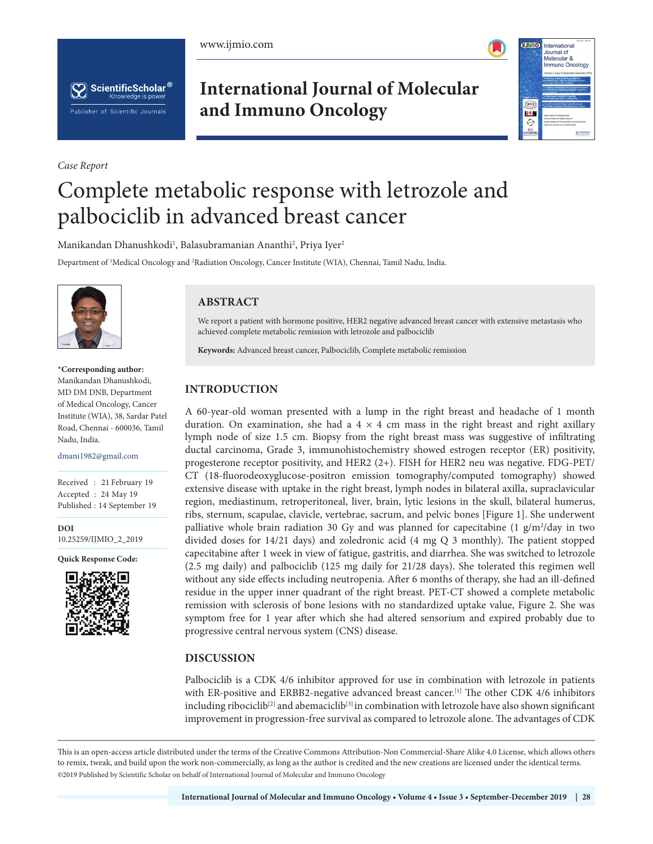





*Case Report*

**International Journal of Molecular and Immuno Oncology**



# Complete metabolic response with letrozole and palbociclib in advanced breast cancer

Manikandan Dhanushkodi<sup>1</sup>, Balasubramanian Ananthi<sup>2</sup>, Priya Iyer<sup>2</sup>

Department of 1 Medical Oncology and 2 Radiation Oncology, Cancer Institute (WIA), Chennai, Tamil Nadu, India.



 **\*Corresponding author:** Manikandan Dhanushkodi, MD DM DNB, Department of Medical Oncology, Cancer Institute (WIA), 38, Sardar Patel Road, Chennai - 600036, Tamil Nadu, India.

dmani1982@gmail.com

Received : 21 February 19 Accepted : 24 May 19 Published : 14 September 19

**DOI** 10.25259/IJMIO\_2\_2019

**Quick Response Code:**



# **ABSTRACT**

We report a patient with hormone positive, HER2 negative advanced breast cancer with extensive metastasis who achieved complete metabolic remission with letrozole and palbociclib

**Keywords:** Advanced breast cancer, Palbociclib, Complete metabolic remission

# **INTRODUCTION**

A 60-year-old woman presented with a lump in the right breast and headache of 1 month duration. On examination, she had a  $4 \times 4$  cm mass in the right breast and right axillary lymph node of size 1.5 cm. Biopsy from the right breast mass was suggestive of infiltrating ductal carcinoma, Grade 3, immunohistochemistry showed estrogen receptor (ER) positivity, progesterone receptor positivity, and HER2 (2+). FISH for HER2 neu was negative. FDG-PET/ CT (18-fluorodeoxyglucose-positron emission tomography/computed tomography) showed extensive disease with uptake in the right breast, lymph nodes in bilateral axilla, supraclavicular region, mediastinum, retroperitoneal, liver, brain, lytic lesions in the skull, bilateral humerus, ribs, sternum, scapulae, clavicle, vertebrae, sacrum, and pelvic bones [Figure 1]. She underwent palliative whole brain radiation 30 Gy and was planned for capecitabine  $(1 g/m^2/day)$  in two divided doses for  $14/21$  days) and zoledronic acid (4 mg Q 3 monthly). The patient stopped capecitabine after 1 week in view of fatigue, gastritis, and diarrhea. She was switched to letrozole (2.5 mg daily) and palbociclib (125 mg daily for 21/28 days). She tolerated this regimen well without any side effects including neutropenia. After 6 months of therapy, she had an ill-defined residue in the upper inner quadrant of the right breast. PET-CT showed a complete metabolic remission with sclerosis of bone lesions with no standardized uptake value, Figure 2. She was symptom free for 1 year after which she had altered sensorium and expired probably due to progressive central nervous system (CNS) disease.

# **DISCUSSION**

Palbociclib is a CDK 4/6 inhibitor approved for use in combination with letrozole in patients with ER-positive and ERBB2-negative advanced breast cancer.<sup>[1]</sup> The other CDK  $4/6$  inhibitors including ribociclib<sup>[2]</sup> and abemaciclib<sup>[3]</sup> in combination with letrozole have also shown significant improvement in progression-free survival as compared to letrozole alone. The advantages of CDK

This is an open-access article distributed under the terms of the Creative Commons Attribution-Non Commercial-Share Alike 4.0 License, which allows others to remix, tweak, and build upon the work non-commercially, as long as the author is credited and the new creations are licensed under the identical terms. @2019 Published by Scientific Scholar on behalf of International Journal of Molecular and Immuno Oncology  $\mathcal{L}$  Published by Scientific Scholar on behalf on behalf of  $\mathcal{L}$  and  $\mathcal{L}$  immuno Oncology Oncology Oncology Oncology Oncology Oncology Oncology Oncology Oncology Oncology Oncology Oncology Oncology Oncology On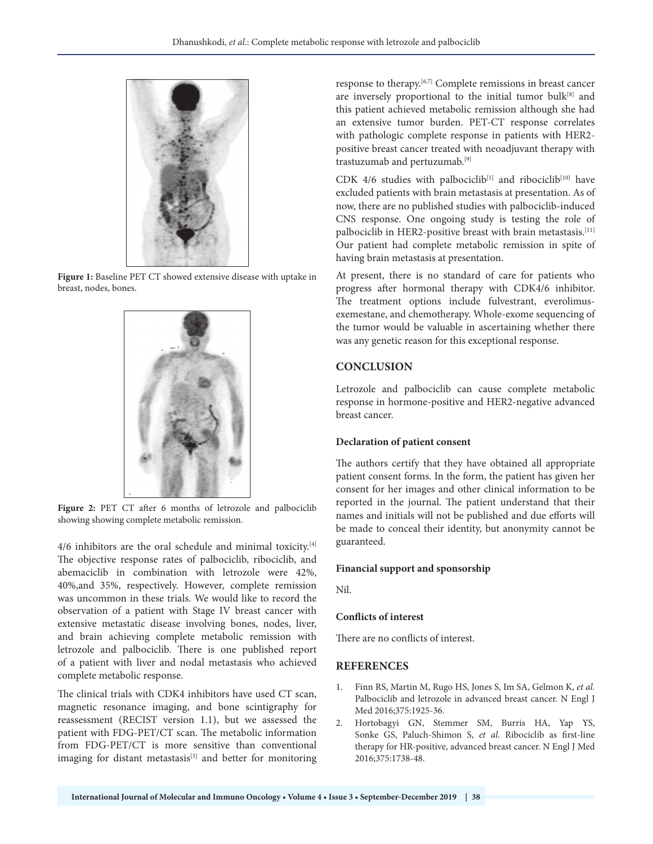

**Figure 1:** Baseline PET CT showed extensive disease with uptake in breast, nodes, bones.



Figure 2: PET CT after 6 months of letrozole and palbociclib showing showing complete metabolic remission.

4/6 inhibitors are the oral schedule and minimal toxicity.<sup>[4]</sup> The objective response rates of palbociclib, ribociclib, and abemaciclib in combination with letrozole were 42%, 40%,and 35%, respectively. However, complete remission was uncommon in these trials. We would like to record the observation of a patient with Stage IV breast cancer with extensive metastatic disease involving bones, nodes, liver, and brain achieving complete metabolic remission with letrozole and palbociclib. There is one published report of a patient with liver and nodal metastasis who achieved complete metabolic response.

The clinical trials with CDK4 inhibitors have used CT scan, magnetic resonance imaging, and bone scintigraphy for reassessment (RECIST version 1.1), but we assessed the patient with FDG-PET/CT scan. The metabolic information from FDG-PET/CT is more sensitive than conventional imaging for distant metastasis<sup>[5]</sup> and better for monitoring response to therapy.[6,7] Complete remissions in breast cancer are inversely proportional to the initial tumor bulk<sup>[8]</sup> and this patient achieved metabolic remission although she had an extensive tumor burden. PET-CT response correlates with pathologic complete response in patients with HER2 positive breast cancer treated with neoadjuvant therapy with trastuzumab and pertuzumab.[9]

CDK 4/6 studies with palbociclib<sup>[1]</sup> and ribociclib<sup>[10]</sup> have excluded patients with brain metastasis at presentation. As of now, there are no published studies with palbociclib-induced CNS response. One ongoing study is testing the role of palbociclib in HER2-positive breast with brain metastasis.<sup>[11]</sup> Our patient had complete metabolic remission in spite of having brain metastasis at presentation.

At present, there is no standard of care for patients who progress after hormonal therapy with CDK4/6 inhibitor. The treatment options include fulvestrant, everolimusexemestane, and chemotherapy. Whole-exome sequencing of the tumor would be valuable in ascertaining whether there was any genetic reason for this exceptional response.

# **CONCLUSION**

Letrozole and palbociclib can cause complete metabolic response in hormone-positive and HER2-negative advanced breast cancer.

#### **Declaration of patient consent**

The authors certify that they have obtained all appropriate patient consent forms. In the form, the patient has given her consent for her images and other clinical information to be reported in the journal. The patient understand that their names and initials will not be published and due efforts will be made to conceal their identity, but anonymity cannot be guaranteed.

#### **Financial support and sponsorship**

Nil.

#### **Conflicts of interest**

There are no conflicts of interest.

#### **REFERENCES**

- 1. Finn RS, Martin M, Rugo HS, Jones S, Im SA, Gelmon K, *et al.* Palbociclib and letrozole in advanced breast cancer. N Engl J Med 2016;375:1925-36.
- 2. Hortobagyi GN, Stemmer SM, Burris HA, Yap YS, Sonke GS, Paluch-Shimon S, et al. Ribociclib as first-line therapy for HR-positive, advanced breast cancer. N Engl J Med 2016;375:1738-48.